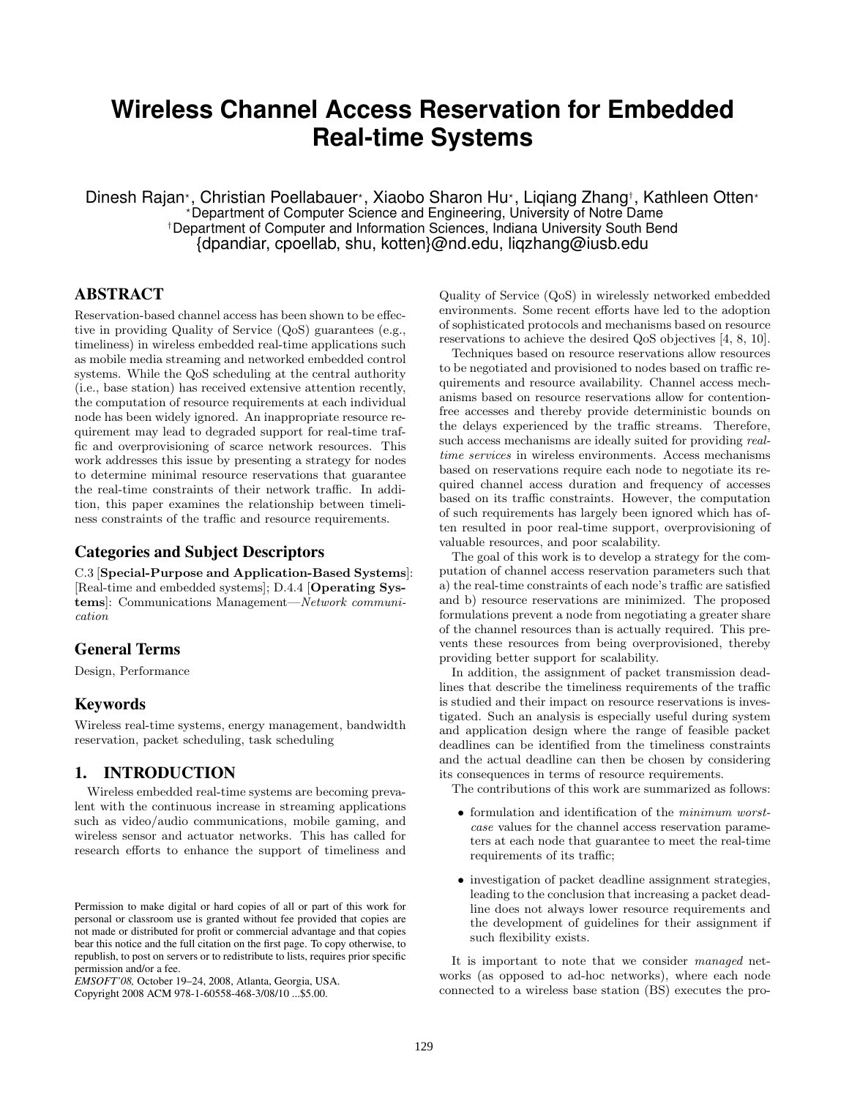# **Wireless Channel Access Reservation for Embedded Real-time Systems**

Dinesh Rajan\*, Christian Poellabauer\*, Xiaobo Sharon Hu\*, Liqiang Zhang†, Kathleen Otten\* Department of Computer Science and Engineering, University of Notre Dame †Department of Computer and Information Sciences, Indiana University South Bend {dpandiar, cpoellab, shu, kotten}@nd.edu, liqzhang@iusb.edu

# ABSTRACT

Reservation-based channel access has been shown to be effective in providing Quality of Service (QoS) guarantees (e.g., timeliness) in wireless embedded real-time applications such as mobile media streaming and networked embedded control systems. While the QoS scheduling at the central authority (i.e., base station) has received extensive attention recently, the computation of resource requirements at each individual node has been widely ignored. An inappropriate resource requirement may lead to degraded support for real-time traffic and overprovisioning of scarce network resources. This work addresses this issue by presenting a strategy for nodes to determine minimal resource reservations that guarantee the real-time constraints of their network traffic. In addition, this paper examines the relationship between timeliness constraints of the traffic and resource requirements.

## Categories and Subject Descriptors

C.3 [Special-Purpose and Application-Based Systems]: [Real-time and embedded systems]; D.4.4 [Operating Systems]: Communications Management—Network communication

# General Terms

Design, Performance

# Keywords

Wireless real-time systems, energy management, bandwidth reservation, packet scheduling, task scheduling

# 1. INTRODUCTION

Wireless embedded real-time systems are becoming prevalent with the continuous increase in streaming applications such as video/audio communications, mobile gaming, and wireless sensor and actuator networks. This has called for research efforts to enhance the support of timeliness and

Copyright 2008 ACM 978-1-60558-468-3/08/10 ...\$5.00.

Quality of Service (QoS) in wirelessly networked embedded environments. Some recent efforts have led to the adoption of sophisticated protocols and mechanisms based on resource reservations to achieve the desired QoS objectives [4, 8, 10].

Techniques based on resource reservations allow resources to be negotiated and provisioned to nodes based on traffic requirements and resource availability. Channel access mechanisms based on resource reservations allow for contentionfree accesses and thereby provide deterministic bounds on the delays experienced by the traffic streams. Therefore, such access mechanisms are ideally suited for providing realtime services in wireless environments. Access mechanisms based on reservations require each node to negotiate its required channel access duration and frequency of accesses based on its traffic constraints. However, the computation of such requirements has largely been ignored which has often resulted in poor real-time support, overprovisioning of valuable resources, and poor scalability.

The goal of this work is to develop a strategy for the computation of channel access reservation parameters such that a) the real-time constraints of each node's traffic are satisfied and b) resource reservations are minimized. The proposed formulations prevent a node from negotiating a greater share of the channel resources than is actually required. This prevents these resources from being overprovisioned, thereby providing better support for scalability.

In addition, the assignment of packet transmission deadlines that describe the timeliness requirements of the traffic is studied and their impact on resource reservations is investigated. Such an analysis is especially useful during system and application design where the range of feasible packet deadlines can be identified from the timeliness constraints and the actual deadline can then be chosen by considering its consequences in terms of resource requirements.

The contributions of this work are summarized as follows:

- formulation and identification of the minimum worstcase values for the channel access reservation parameters at each node that guarantee to meet the real-time requirements of its traffic;
- investigation of packet deadline assignment strategies, leading to the conclusion that increasing a packet deadline does not always lower resource requirements and the development of guidelines for their assignment if such flexibility exists.

It is important to note that we consider managed networks (as opposed to ad-hoc networks), where each node connected to a wireless base station (BS) executes the pro-

Permission to make digital or hard copies of all or part of this work for personal or classroom use is granted without fee provided that copies are not made or distributed for profit or commercial advantage and that copies bear this notice and the full citation on the first page. To copy otherwise, to republish, to post on servers or to redistribute to lists, requires prior specific permission and/or a fee.

*EMSOFT'08,* October 19–24, 2008, Atlanta, Georgia, USA.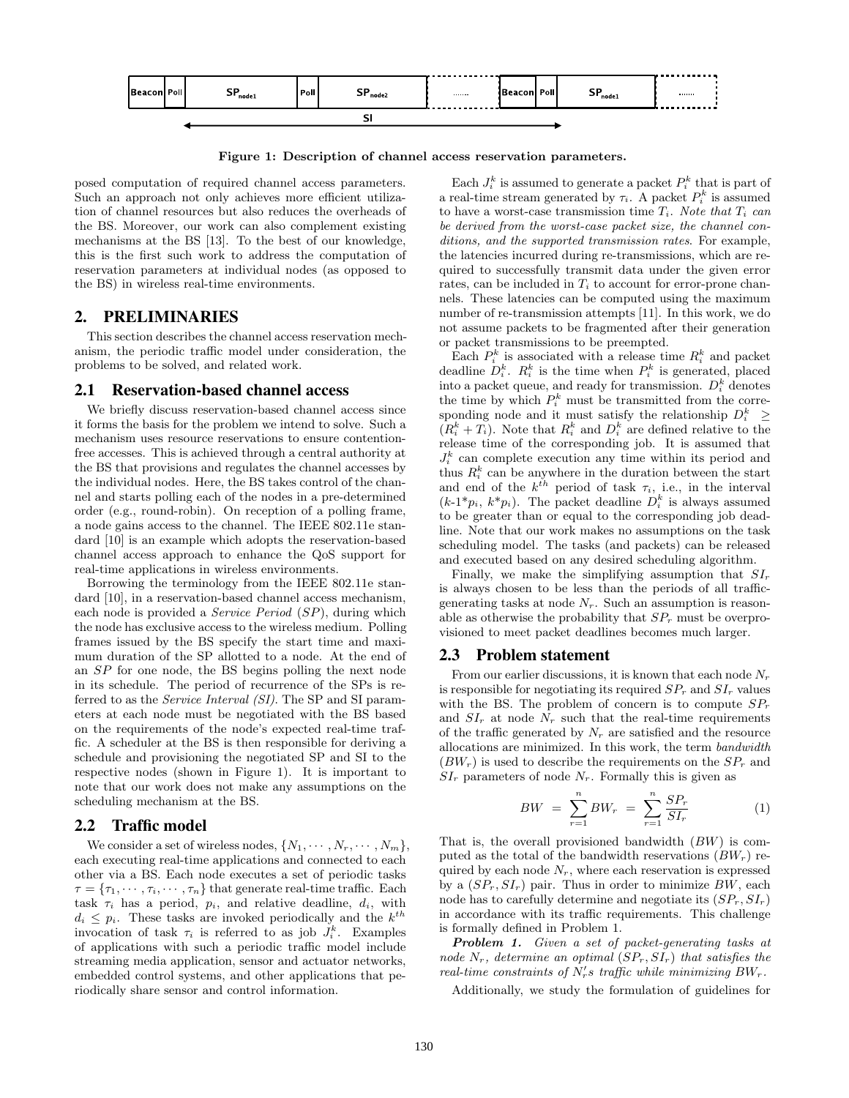

Figure 1: Description of channel access reservation parameters.

posed computation of required channel access parameters. Such an approach not only achieves more efficient utilization of channel resources but also reduces the overheads of the BS. Moreover, our work can also complement existing mechanisms at the BS [13]. To the best of our knowledge, this is the first such work to address the computation of reservation parameters at individual nodes (as opposed to the BS) in wireless real-time environments.

#### 2. PRELIMINARIES

This section describes the channel access reservation mechanism, the periodic traffic model under consideration, the problems to be solved, and related work.

#### 2.1 Reservation-based channel access

We briefly discuss reservation-based channel access since it forms the basis for the problem we intend to solve. Such a mechanism uses resource reservations to ensure contentionfree accesses. This is achieved through a central authority at the BS that provisions and regulates the channel accesses by the individual nodes. Here, the BS takes control of the channel and starts polling each of the nodes in a pre-determined order (e.g., round-robin). On reception of a polling frame, a node gains access to the channel. The IEEE 802.11e standard [10] is an example which adopts the reservation-based channel access approach to enhance the QoS support for real-time applications in wireless environments.

Borrowing the terminology from the IEEE 802.11e standard [10], in a reservation-based channel access mechanism, each node is provided a Service Period (SP), during which the node has exclusive access to the wireless medium. Polling frames issued by the BS specify the start time and maximum duration of the SP allotted to a node. At the end of an SP for one node, the BS begins polling the next node in its schedule. The period of recurrence of the SPs is referred to as the Service Interval (SI). The SP and SI parameters at each node must be negotiated with the BS based on the requirements of the node's expected real-time traffic. A scheduler at the BS is then responsible for deriving a schedule and provisioning the negotiated SP and SI to the respective nodes (shown in Figure 1). It is important to note that our work does not make any assumptions on the scheduling mechanism at the BS.

#### 2.2 Traffic model

We consider a set of wireless nodes,  $\{N_1, \cdots, N_r, \cdots, N_m\},\$ each executing real-time applications and connected to each other via a BS. Each node executes a set of periodic tasks  $\tau = {\tau_1, \dots, \tau_i, \dots, \tau_n}$  that generate real-time traffic. Each task  $\tau_i$  has a period,  $p_i$ , and relative deadline,  $d_i$ , with  $d_i \leq p_i$ . These tasks are invoked periodically and the  $k^{th}$ invocation of task  $\tau_i$  is referred to as job  $J_i^k$ . Examples of applications with such a periodic traffic model include streaming media application, sensor and actuator networks, embedded control systems, and other applications that periodically share sensor and control information.

Each  $J_i^k$  is assumed to generate a packet  $P_i^k$  that is part of a real-time stream generated by  $\tau_i$ . A packet  $P_i^k$  is assumed to have a worst-case transmission time  $T_i$ . Note that  $T_i$  can be derived from the worst-case packet size, the channel conditions, and the supported transmission rates. For example, the latencies incurred during re-transmissions, which are required to successfully transmit data under the given error rates, can be included in  $T_i$  to account for error-prone channels. These latencies can be computed using the maximum number of re-transmission attempts [11]. In this work, we do not assume packets to be fragmented after their generation or packet transmissions to be preempted.

Each  $P_i^k$  is associated with a release time  $R_i^k$  and packet deadline  $D_i^k$ .  $R_i^k$  is the time when  $P_i^k$  is generated, placed into a packet queue, and ready for transmission.  $D_i^k$  denotes the time by which  $P_i^k$  must be transmitted from the corresponding node and it must satisfy the relationship  $D_i^k$   $\geq$  $(R_i^k + T_i)$ . Note that  $R_i^k$  and  $D_i^k$  are defined relative to the release time of the corresponding job. It is assumed that  $J_i^k$  can complete execution any time within its period and thus  $R_i^k$  can be anywhere in the duration between the start and end of the  $k^{th}$  period of task  $\tau_i$ , i.e., in the interval  $(k-1^*p_i, k^*p_i)$ . The packet deadline  $D_i^k$  is always assumed to be greater than or equal to the corresponding job deadline. Note that our work makes no assumptions on the task scheduling model. The tasks (and packets) can be released and executed based on any desired scheduling algorithm.

Finally, we make the simplifying assumption that  $SI_r$ is always chosen to be less than the periods of all trafficgenerating tasks at node  $N_r$ . Such an assumption is reasonable as otherwise the probability that  $SP<sub>r</sub>$  must be overprovisioned to meet packet deadlines becomes much larger.

## 2.3 Problem statement

From our earlier discussions, it is known that each node  $N_r$ is responsible for negotiating its required  $SP<sub>r</sub>$  and  $SI<sub>r</sub>$  values with the BS. The problem of concern is to compute  $SP<sub>r</sub>$ and  $SI_r$  at node  $N_r$  such that the real-time requirements of the traffic generated by  $N_r$  are satisfied and the resource allocations are minimized. In this work, the term bandwidth  $(BW_r)$  is used to describe the requirements on the  $SP_r$  and  $SI_r$  parameters of node  $N_r$ . Formally this is given as

$$
BW = \sum_{r=1}^{n} BW_r = \sum_{r=1}^{n} \frac{SP_r}{SI_r}
$$
 (1)

That is, the overall provisioned bandwidth (BW) is computed as the total of the bandwidth reservations  $(BW_r)$  required by each node  $N_r$ , where each reservation is expressed by a  $(SP_r, SI_r)$  pair. Thus in order to minimize BW, each node has to carefully determine and negotiate its  $(SP_r, SI_r)$ in accordance with its traffic requirements. This challenge is formally defined in Problem 1.

Problem 1. Given a set of packet-generating tasks at node  $N_r$ , determine an optimal  $(SP_r, SI_r)$  that satisfies the real-time constraints of  $N'_r s$  traffic while minimizing  $BW_r$ .

Additionally, we study the formulation of guidelines for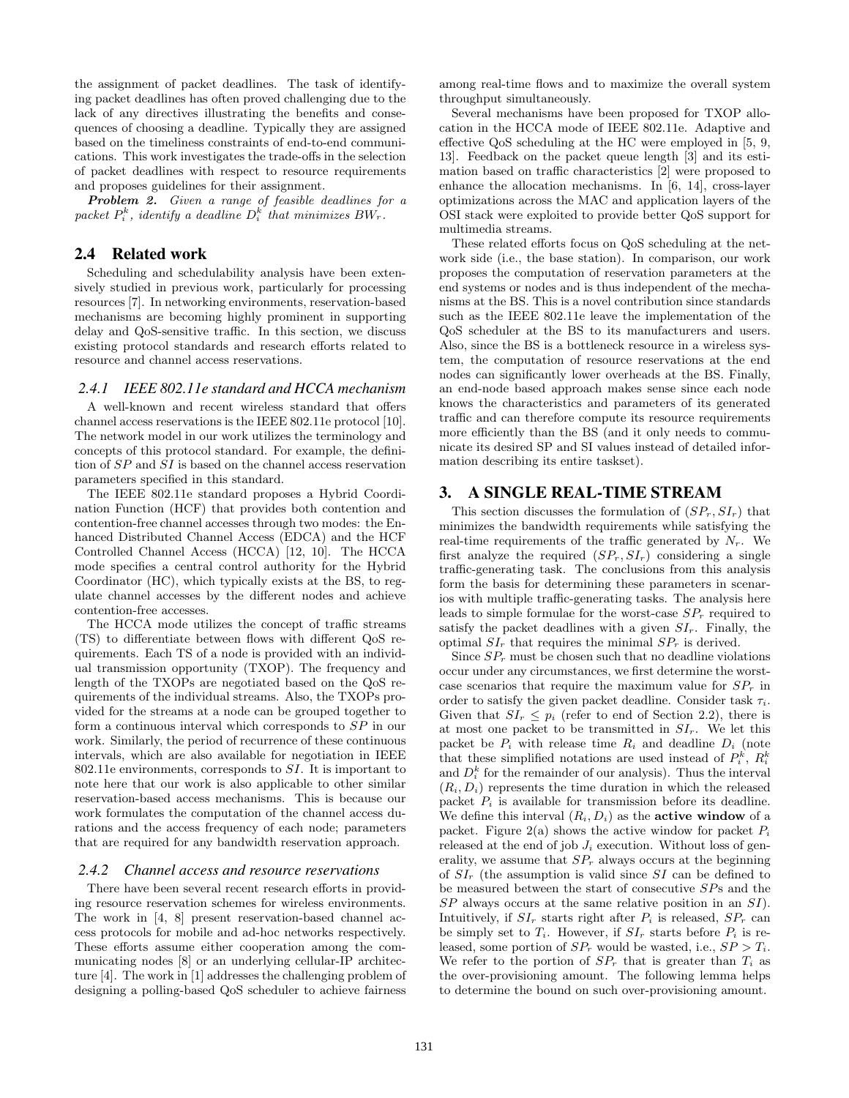the assignment of packet deadlines. The task of identifying packet deadlines has often proved challenging due to the lack of any directives illustrating the benefits and consequences of choosing a deadline. Typically they are assigned based on the timeliness constraints of end-to-end communications. This work investigates the trade-offs in the selection of packet deadlines with respect to resource requirements and proposes guidelines for their assignment.

Problem 2. Given a range of feasible deadlines for a packet  $P_i^k$ , identify a deadline  $D_i^k$  that minimizes  $BW_r$ .

## 2.4 Related work

Scheduling and schedulability analysis have been extensively studied in previous work, particularly for processing resources [7]. In networking environments, reservation-based mechanisms are becoming highly prominent in supporting delay and QoS-sensitive traffic. In this section, we discuss existing protocol standards and research efforts related to resource and channel access reservations.

#### *2.4.1 IEEE 802.11e standard and HCCA mechanism*

A well-known and recent wireless standard that offers channel access reservations is the IEEE 802.11e protocol [10]. The network model in our work utilizes the terminology and concepts of this protocol standard. For example, the definition of SP and SI is based on the channel access reservation parameters specified in this standard.

The IEEE 802.11e standard proposes a Hybrid Coordination Function (HCF) that provides both contention and contention-free channel accesses through two modes: the Enhanced Distributed Channel Access (EDCA) and the HCF Controlled Channel Access (HCCA) [12, 10]. The HCCA mode specifies a central control authority for the Hybrid Coordinator (HC), which typically exists at the BS, to regulate channel accesses by the different nodes and achieve contention-free accesses.

The HCCA mode utilizes the concept of traffic streams (TS) to differentiate between flows with different QoS requirements. Each TS of a node is provided with an individual transmission opportunity (TXOP). The frequency and length of the TXOPs are negotiated based on the QoS requirements of the individual streams. Also, the TXOPs provided for the streams at a node can be grouped together to form a continuous interval which corresponds to SP in our work. Similarly, the period of recurrence of these continuous intervals, which are also available for negotiation in IEEE 802.11e environments, corresponds to  $SI$ . It is important to note here that our work is also applicable to other similar reservation-based access mechanisms. This is because our work formulates the computation of the channel access durations and the access frequency of each node; parameters that are required for any bandwidth reservation approach.

#### *2.4.2 Channel access and resource reservations*

There have been several recent research efforts in providing resource reservation schemes for wireless environments. The work in [4, 8] present reservation-based channel access protocols for mobile and ad-hoc networks respectively. These efforts assume either cooperation among the communicating nodes [8] or an underlying cellular-IP architecture [4]. The work in [1] addresses the challenging problem of designing a polling-based QoS scheduler to achieve fairness

among real-time flows and to maximize the overall system throughput simultaneously.

Several mechanisms have been proposed for TXOP allocation in the HCCA mode of IEEE 802.11e. Adaptive and effective QoS scheduling at the HC were employed in [5, 9, 13]. Feedback on the packet queue length [3] and its estimation based on traffic characteristics [2] were proposed to enhance the allocation mechanisms. In [6, 14], cross-layer optimizations across the MAC and application layers of the OSI stack were exploited to provide better QoS support for multimedia streams.

These related efforts focus on QoS scheduling at the network side (i.e., the base station). In comparison, our work proposes the computation of reservation parameters at the end systems or nodes and is thus independent of the mechanisms at the BS. This is a novel contribution since standards such as the IEEE 802.11e leave the implementation of the QoS scheduler at the BS to its manufacturers and users. Also, since the BS is a bottleneck resource in a wireless system, the computation of resource reservations at the end nodes can significantly lower overheads at the BS. Finally, an end-node based approach makes sense since each node knows the characteristics and parameters of its generated traffic and can therefore compute its resource requirements more efficiently than the BS (and it only needs to communicate its desired SP and SI values instead of detailed information describing its entire taskset).

## 3. A SINGLE REAL-TIME STREAM

This section discusses the formulation of  $(SP_r, SI_r)$  that minimizes the bandwidth requirements while satisfying the real-time requirements of the traffic generated by  $N_r$ . We first analyze the required  $(SP_r, SI_r)$  considering a single traffic-generating task. The conclusions from this analysis form the basis for determining these parameters in scenarios with multiple traffic-generating tasks. The analysis here leads to simple formulae for the worst-case  $SP<sub>r</sub>$  required to satisfy the packet deadlines with a given  $SI_r$ . Finally, the optimal  $SI_r$  that requires the minimal  $SP_r$  is derived.

Since  $SP_r$  must be chosen such that no deadline violations occur under any circumstances, we first determine the worstcase scenarios that require the maximum value for  $SP<sub>r</sub>$  in order to satisfy the given packet deadline. Consider task  $\tau_i$ . Given that  $SI_r \leq p_i$  (refer to end of Section 2.2), there is at most one packet to be transmitted in  $SI_r$ . We let this packet be  $P_i$  with release time  $R_i$  and deadline  $D_i$  (note that these simplified notations are used instead of  $P_i^k$ ,  $R_i^k$ and  $D_i^k$  for the remainder of our analysis). Thus the interval  $(R_i, D_i)$  represents the time duration in which the released packet  $P_i$  is available for transmission before its deadline. We define this interval  $(R_i, D_i)$  as the **active window** of a packet. Figure 2(a) shows the active window for packet  $P_i$ released at the end of job  $J_i$  execution. Without loss of generality, we assume that  $SP<sub>r</sub>$  always occurs at the beginning of  $SI_r$  (the assumption is valid since SI can be defined to be measured between the start of consecutive SPs and the SP always occurs at the same relative position in an SI). Intuitively, if  $SI_r$  starts right after  $P_i$  is released,  $SP_r$  can be simply set to  $T_i$ . However, if  $SI_r$  starts before  $P_i$  is released, some portion of  $SP_r$  would be wasted, i.e.,  $SP > T_i$ . We refer to the portion of  $SP_r$  that is greater than  $T_i$  as the over-provisioning amount. The following lemma helps to determine the bound on such over-provisioning amount.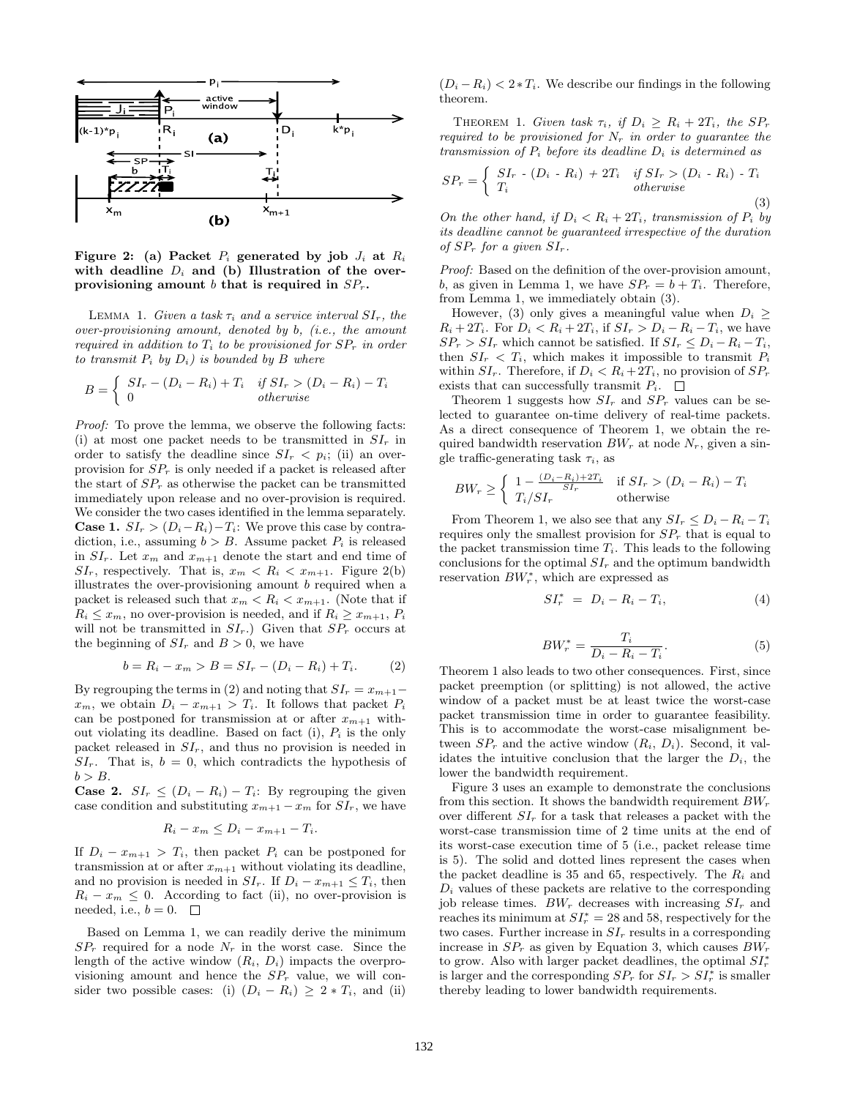

Figure 2: (a) Packet  $P_i$  generated by job  $J_i$  at  $R_i$ with deadline  $D_i$  and (b) Illustration of the overprovisioning amount b that is required in  $SP_r$ .

LEMMA 1. Given a task  $\tau_i$  and a service interval  $SI_r$ , the over-provisioning amount, denoted by b, (i.e., the amount required in addition to  $T_i$  to be provisioned for  $SP_r$  in order to transmit  $P_i$  by  $D_i$ ) is bounded by  $B$  where

$$
B = \begin{cases} SI_r - (D_i - R_i) + T_i & \text{if } SI_r > (D_i - R_i) - T_i \\ 0 & \text{otherwise} \end{cases}
$$

Proof: To prove the lemma, we observe the following facts: (i) at most one packet needs to be transmitted in  $SI<sub>r</sub>$  in order to satisfy the deadline since  $SI_r < p_i$ ; (ii) an overprovision for  $SP<sub>r</sub>$  is only needed if a packet is released after the start of  $SP<sub>r</sub>$  as otherwise the packet can be transmitted immediately upon release and no over-provision is required. We consider the two cases identified in the lemma separately. **Case 1.**  $SI_r > (D_i - R_i) - T_i$ : We prove this case by contradiction, i.e., assuming  $b > B$ . Assume packet  $P_i$  is released in  $SI_r$ . Let  $x_m$  and  $x_{m+1}$  denote the start and end time of  $SI_r$ , respectively. That is,  $x_m < R_i < x_{m+1}$ . Figure 2(b) illustrates the over-provisioning amount  $b$  required when a packet is released such that  $x_m < R_i < x_{m+1}$ . (Note that if  $R_i \leq x_m$ , no over-provision is needed, and if  $R_i \geq x_{m+1}$ ,  $P_i$ will not be transmitted in  $SI_r$ .) Given that  $SP_r$  occurs at the beginning of  $SI_r$  and  $B > 0$ , we have

$$
b = R_i - x_m > B = SI_r - (D_i - R_i) + T_i.
$$
 (2)

By regrouping the terms in (2) and noting that  $SI_r = x_{m+1}$  $x_m$ , we obtain  $D_i - x_{m+1} > T_i$ . It follows that packet  $P_i$ can be postponed for transmission at or after  $x_{m+1}$  without violating its deadline. Based on fact (i),  $P_i$  is the only packet released in  $SI_r$ , and thus no provision is needed in  $SI_r$ . That is,  $b = 0$ , which contradicts the hypothesis of  $b > B$ .

**Case 2.**  $SI_r \leq (D_i - R_i) - T_i$ : By regrouping the given case condition and substituting  $x_{m+1} - x_m$  for  $SI_r$ , we have

$$
R_i - x_m \le D_i - x_{m+1} - T_i.
$$

If  $D_i - x_{m+1} > T_i$ , then packet  $P_i$  can be postponed for transmission at or after  $x_{m+1}$  without violating its deadline, and no provision is needed in  $SI_r$ . If  $D_i - x_{m+1} \leq T_i$ , then  $R_i - x_m \leq 0$ . According to fact (ii), no over-provision is needed, i.e.,  $b = 0$ .  $\Box$ 

Based on Lemma 1, we can readily derive the minimum  $SP<sub>r</sub>$  required for a node  $N<sub>r</sub>$  in the worst case. Since the length of the active window  $(R_i, D_i)$  impacts the overprovisioning amount and hence the  $SP<sub>r</sub>$  value, we will consider two possible cases: (i)  $(D_i - R_i) \geq 2 * T_i$ , and (ii)

 $(D_i - R_i) < 2 \cdot T_i$ . We describe our findings in the following theorem.

THEOREM 1. Given task  $\tau_i$ , if  $D_i \geq R_i + 2T_i$ , the  $SP_r$ required to be provisioned for  $N_r$  in order to guarantee the transmission of  $P_i$  before its deadline  $D_i$  is determined as

$$
SP_r = \begin{cases} SI_r - (D_i - R_i) + 2T_i & \text{if } SI_r > (D_i - R_i) - T_i \\ T_i & \text{otherwise} \end{cases}
$$
(3)

On the other hand, if  $D_i < R_i + 2T_i$ , transmission of  $P_i$  by its deadline cannot be guaranteed irrespective of the duration of  $SP_r$  for a given  $SI_r$ .

Proof: Based on the definition of the over-provision amount, b, as given in Lemma 1, we have  $SP_r = b + T_i$ . Therefore, from Lemma 1, we immediately obtain (3).

However, (3) only gives a meaningful value when  $D_i \geq$  $R_i + 2T_i$ . For  $D_i < R_i + 2T_i$ , if  $SI_r > D_i - R_i - T_i$ , we have  $SP_r > SI_r$  which cannot be satisfied. If  $SI_r \leq D_i - R_i - T_i$ , then  $SI_r < T_i$ , which makes it impossible to transmit  $P_i$ within  $SI_r$ . Therefore, if  $D_i < R_i + 2T_i$ , no provision of  $SP_r$ exists that can successfully transmit  $P_i$ .  $\Box$ 

Theorem 1 suggests how  $SI_r$  and  $SP_r$  values can be selected to guarantee on-time delivery of real-time packets. As a direct consequence of Theorem 1, we obtain the required bandwidth reservation  $BW_r$  at node  $N_r$ , given a single traffic-generating task  $\tau_i$ , as

$$
BW_r \ge \begin{cases} 1 - \frac{(D_i - R_i) + 2T_i}{SI_r} & \text{if } SI_r > (D_i - R_i) - T_i \\ T_i / SI_r & \text{otherwise} \end{cases}
$$

From Theorem 1, we also see that any  $SI_r \leq D_i - R_i - T_i$ requires only the smallest provision for  $SP<sub>r</sub>$  that is equal to the packet transmission time  $T_i$ . This leads to the following conclusions for the optimal  $SI_r$  and the optimum bandwidth reservation  $BW_r^*$ , which are expressed as

$$
SI_r^* = D_i - R_i - T_i, \qquad (4)
$$

$$
BW_r^* = \frac{T_i}{D_i - R_i - T_i}.\tag{5}
$$

Theorem 1 also leads to two other consequences. First, since packet preemption (or splitting) is not allowed, the active window of a packet must be at least twice the worst-case packet transmission time in order to guarantee feasibility. This is to accommodate the worst-case misalignment between  $SP_r$  and the active window  $(R_i, D_i)$ . Second, it validates the intuitive conclusion that the larger the  $D_i$ , the lower the bandwidth requirement.

Figure 3 uses an example to demonstrate the conclusions from this section. It shows the bandwidth requirement  $BW_r$ over different  $SI_r$  for a task that releases a packet with the worst-case transmission time of 2 time units at the end of its worst-case execution time of 5 (i.e., packet release time is 5). The solid and dotted lines represent the cases when the packet deadline is 35 and 65, respectively. The  $R_i$  and  $D_i$  values of these packets are relative to the corresponding job release times.  $BW_r$  decreases with increasing  $SI_r$  and reaches its minimum at  $ST_r^* = 28$  and 58, respectively for the two cases. Further increase in  $SI_r$  results in a corresponding increase in  $SP<sub>r</sub>$  as given by Equation 3, which causes  $BW<sub>r</sub>$ to grow. Also with larger packet deadlines, the optimal  $SI_r^*$ is larger and the corresponding  $SP_r$  for  $SI_r > SI_r^*$  is smaller thereby leading to lower bandwidth requirements.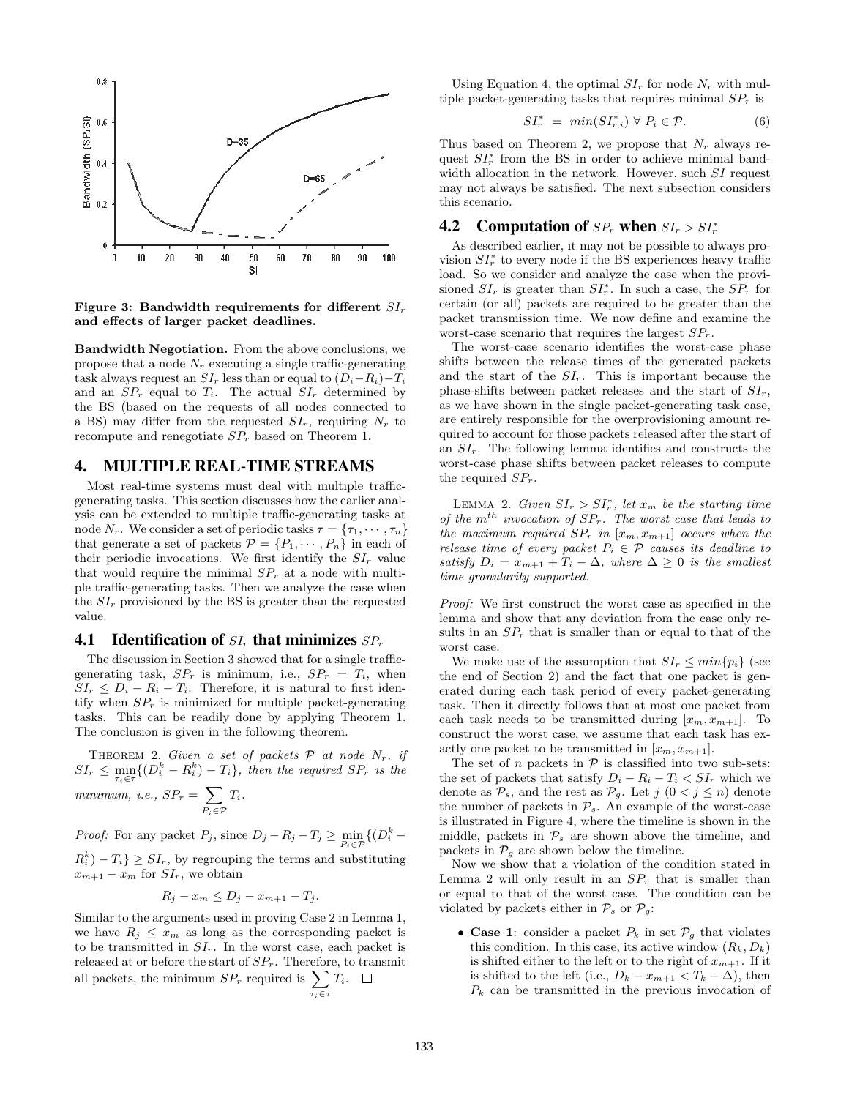

Figure 3: Bandwidth requirements for different  $SI_r$ and effects of larger packet deadlines.

Bandwidth Negotiation. From the above conclusions, we propose that a node  $N_r$  executing a single traffic-generating task always request an  $SI_r$  less than or equal to  $(D_i-R_i)-T_i$ and an  $SP_r$  equal to  $T_i$ . The actual  $SI_r$  determined by the BS (based on the requests of all nodes connected to a BS) may differ from the requested  $SI_r$ , requiring  $N_r$  to recompute and renegotiate  $SP<sub>r</sub>$  based on Theorem 1.

#### 4. MULTIPLE REAL-TIME STREAMS

Most real-time systems must deal with multiple trafficgenerating tasks. This section discusses how the earlier analysis can be extended to multiple traffic-generating tasks at node  $N_r$ . We consider a set of periodic tasks  $\tau = {\tau_1, \cdots, \tau_n}$ that generate a set of packets  $\mathcal{P} = \{P_1, \dots, P_n\}$  in each of their periodic invocations. We first identify the  $SI_r$  value that would require the minimal  $SP<sub>r</sub>$  at a node with multiple traffic-generating tasks. Then we analyze the case when the  $SI_r$  provisioned by the BS is greater than the requested value.

## **4.1 Identification of**  $SL_r$  **that minimizes**  $SP_r$

The discussion in Section 3 showed that for a single trafficgenerating task,  $SP_r$  is minimum, i.e.,  $SP_r = T_i$ , when  $SI_r \leq D_i - R_i - T_i$ . Therefore, it is natural to first identify when  $SP<sub>r</sub>$  is minimized for multiple packet-generating tasks. This can be readily done by applying Theorem 1. The conclusion is given in the following theorem.

THEOREM 2. Given a set of packets  $P$  at node  $N_r$ , if  $SI_r \leq \min_{\tau_i \in \tau} \{ (D_i^k - R_i^k) - T_i \},\$  then the required  $SP_r$  is the minimum, i.e.,  $SP_r = \sum$  $P_i \in \mathcal{P}$  $T_i$ .

*Proof:* For any packet  $P_j$ , since  $D_j - R_j - T_j \ge \min_{P_i \in \mathcal{P}} \{ (D_i^k - P_j) \}$  $R_i^k$  $- T_i$ }  $\geq SI_r$ , by regrouping the terms and substituting  $x_{m+1} - x_m$  for  $SI_r$ , we obtain

$$
R_j - x_m \le D_j - x_{m+1} - T_j.
$$

Similar to the arguments used in proving Case 2 in Lemma 1, we have  $R_j \leq x_m$  as long as the corresponding packet is to be transmitted in  $SI_r$ . In the worst case, each packet is released at or before the start of  $SP_r$ . Therefore, to transmit all packets, the minimum  $SP_r$  required is  $\sum$  $\tau_i \in \tau$  $T_i$ .

Using Equation 4, the optimal  $SI_r$  for node  $N_r$  with multiple packet-generating tasks that requires minimal  $SP<sub>r</sub>$  is

$$
SI_r^* = \min(SI_{r,i}^*) \ \forall \ P_i \in \mathcal{P}.\tag{6}
$$

Thus based on Theorem 2, we propose that  $N_r$  always request  $SI_r^*$  from the BS in order to achieve minimal bandwidth allocation in the network. However, such  $SI$  request may not always be satisfied. The next subsection considers this scenario.

# **4.2** Computation of  $SP_r$  when  $SI_r > SI_r^*$

As described earlier, it may not be possible to always provision  $SI_r^*$  to every node if the BS experiences heavy traffic load. So we consider and analyze the case when the provisioned  $SI_r$  is greater than  $SI^*_r$ . In such a case, the  $SP_r$  for certain (or all) packets are required to be greater than the packet transmission time. We now define and examine the worst-case scenario that requires the largest  $SP<sub>r</sub>$ .

The worst-case scenario identifies the worst-case phase shifts between the release times of the generated packets and the start of the  $SI_r$ . This is important because the phase-shifts between packet releases and the start of  $SI_r$ , as we have shown in the single packet-generating task case, are entirely responsible for the overprovisioning amount required to account for those packets released after the start of an  $SI_r$ . The following lemma identifies and constructs the worst-case phase shifts between packet releases to compute the required  $SP_r$ .

LEMMA 2. Given  $SI_r > SI_r^*$ , let  $x_m$  be the starting time of the  $m^{th}$  invocation of  $SP_r$ . The worst case that leads to the maximum required  $SP_r$  in  $[x_m, x_{m+1}]$  occurs when the release time of every packet  $P_i \in \mathcal{P}$  causes its deadline to satisfy  $D_i = x_{m+1} + T_i - \Delta$ , where  $\Delta \geq 0$  is the smallest time granularity supported.

Proof: We first construct the worst case as specified in the lemma and show that any deviation from the case only results in an  $SP<sub>r</sub>$  that is smaller than or equal to that of the worst case.

We make use of the assumption that  $SI_r \leq min\{p_i\}$  (see the end of Section 2) and the fact that one packet is generated during each task period of every packet-generating task. Then it directly follows that at most one packet from each task needs to be transmitted during  $[x_m, x_{m+1}]$ . To construct the worst case, we assume that each task has exactly one packet to be transmitted in  $[x_m, x_{m+1}]$ .

The set of n packets in  $P$  is classified into two sub-sets: the set of packets that satisfy  $D_i - R_i - T_i < S I_r$  which we denote as  $\mathcal{P}_s$ , and the rest as  $\mathcal{P}_g$ . Let  $j$   $(0 < j \leq n)$  denote the number of packets in  $\mathcal{P}_s$ . An example of the worst-case is illustrated in Figure 4, where the timeline is shown in the middle, packets in  $\mathcal{P}_s$  are shown above the timeline, and packets in  $\mathcal{P}_g$  are shown below the timeline.

Now we show that a violation of the condition stated in Lemma 2 will only result in an  $SP<sub>r</sub>$  that is smaller than or equal to that of the worst case. The condition can be violated by packets either in  $\mathcal{P}_s$  or  $\mathcal{P}_g$ :

• Case 1: consider a packet  $P_k$  in set  $\mathcal{P}_q$  that violates this condition. In this case, its active window  $(R_k, D_k)$ is shifted either to the left or to the right of  $x_{m+1}$ . If it is shifted to the left (i.e.,  $D_k - x_{m+1} < T_k - \Delta$ ), then  $P_k$  can be transmitted in the previous invocation of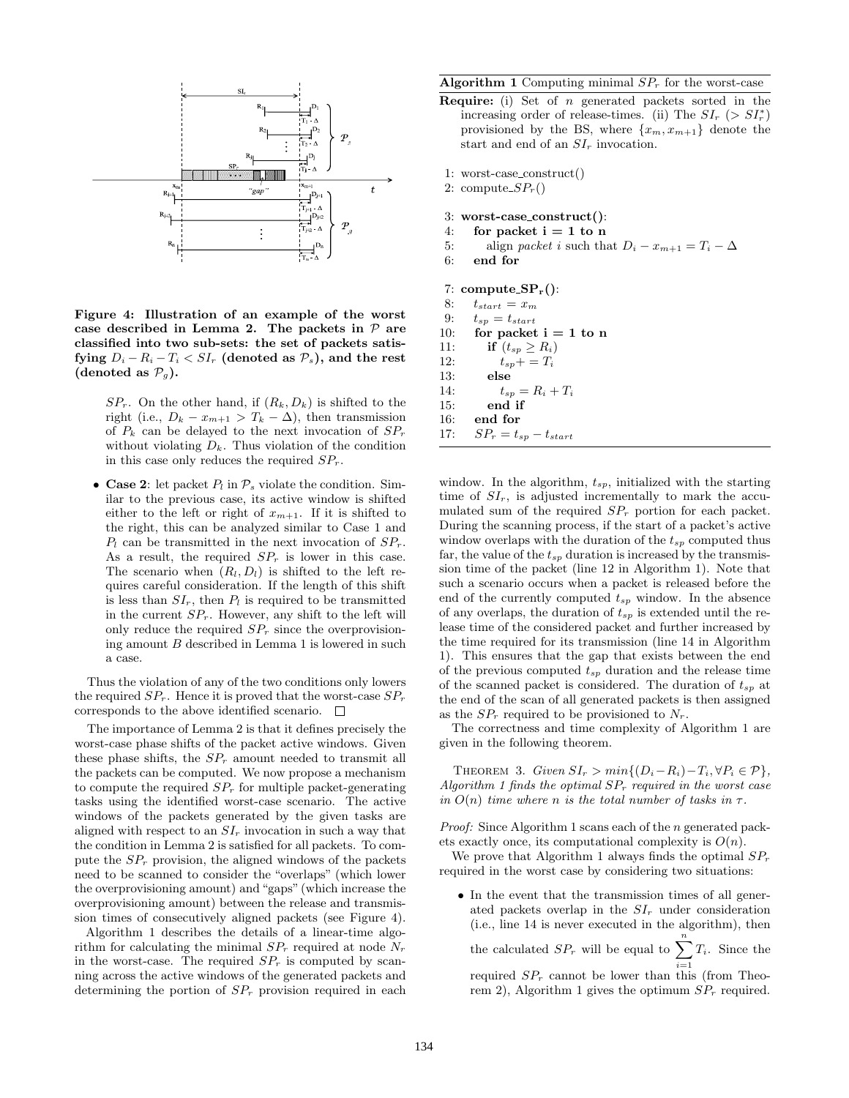

Figure 4: Illustration of an example of the worst case described in Lemma 2. The packets in  $P$  are classified into two sub-sets: the set of packets satisfying  $D_i - R_i - T_i < SI_r$  (denoted as  $P_s$ ), and the rest (denoted as  $\mathcal{P}_q$ ).

 $SP_r$ . On the other hand, if  $(R_k, D_k)$  is shifted to the right (i.e.,  $D_k - x_{m+1} > T_k - \Delta$ ), then transmission of  $P_k$  can be delayed to the next invocation of  $SP_r$ without violating  $D_k$ . Thus violation of the condition in this case only reduces the required  $SP<sub>r</sub>$ .

• Case 2: let packet  $P_l$  in  $\mathcal{P}_s$  violate the condition. Similar to the previous case, its active window is shifted either to the left or right of  $x_{m+1}$ . If it is shifted to the right, this can be analyzed similar to Case 1 and  $P_l$  can be transmitted in the next invocation of  $SP_r$ . As a result, the required  $SP<sub>r</sub>$  is lower in this case. The scenario when  $(R_l, D_l)$  is shifted to the left requires careful consideration. If the length of this shift is less than  $SI_r$ , then  $P_l$  is required to be transmitted in the current  $SP_r$ . However, any shift to the left will only reduce the required  $SP<sub>r</sub>$  since the overprovisioning amount B described in Lemma 1 is lowered in such a case.

Thus the violation of any of the two conditions only lowers the required  $SP_r$ . Hence it is proved that the worst-case  $SP_r$ corresponds to the above identified scenario.  $\Box$ 

The importance of Lemma 2 is that it defines precisely the worst-case phase shifts of the packet active windows. Given these phase shifts, the  $SP<sub>r</sub>$  amount needed to transmit all the packets can be computed. We now propose a mechanism to compute the required  $SP<sub>r</sub>$  for multiple packet-generating tasks using the identified worst-case scenario. The active windows of the packets generated by the given tasks are aligned with respect to an  $SI<sub>r</sub>$  invocation in such a way that the condition in Lemma 2 is satisfied for all packets. To compute the  $SP<sub>r</sub>$  provision, the aligned windows of the packets need to be scanned to consider the "overlaps" (which lower the overprovisioning amount) and "gaps" (which increase the overprovisioning amount) between the release and transmission times of consecutively aligned packets (see Figure 4).

Algorithm 1 describes the details of a linear-time algorithm for calculating the minimal  $SP<sub>r</sub>$  required at node  $N<sub>r</sub>$ in the worst-case. The required  $SP<sub>r</sub>$  is computed by scanning across the active windows of the generated packets and determining the portion of  $SP<sub>r</sub>$  provision required in each

**Algorithm 1** Computing minimal  $SP<sub>r</sub>$  for the worst-case

- **Require:** (i) Set of  $n$  generated packets sorted in the increasing order of release-times. (ii) The  $SI_r$  (>  $SI^*_r$ ) provisioned by the BS, where  $\{x_m, x_{m+1}\}\$  denote the start and end of an  $SI_r$  invocation.
- 1: worst-case construct()
- 2: compute  $SP<sub>r</sub>($
- 3: worst-case construct():
- 4: for packet  $i = 1$  to n
- 5: align *packet i* such that  $D_i x_{m+1} = T_i \Delta$
- 6: end for

7: compute  $SP_r()$ :

- 8:  $t_{start} = x_m$
- 9:  $t_{sp} = t_{start}$
- 10: for packet  $i = 1$  to n
- 11: if  $(t_{sp} \geq R_i)$
- 12:  $t_{sp} + = T_i$
- 13: else
- 14:  $t_{sp} = R_i + T_i$
- 15: end if
- 16: end for
- 17:  $SP_r = t_{sp} t_{start}$

window. In the algorithm,  $t_{sp}$ , initialized with the starting time of  $SI_r$ , is adjusted incrementally to mark the accumulated sum of the required  $SP<sub>r</sub>$  portion for each packet. During the scanning process, if the start of a packet's active window overlaps with the duration of the  $t_{sp}$  computed thus far, the value of the  $t_{sp}$  duration is increased by the transmission time of the packet (line 12 in Algorithm 1). Note that such a scenario occurs when a packet is released before the end of the currently computed  $t_{sp}$  window. In the absence of any overlaps, the duration of  $t_{sp}$  is extended until the release time of the considered packet and further increased by the time required for its transmission (line 14 in Algorithm 1). This ensures that the gap that exists between the end of the previous computed  $t_{sp}$  duration and the release time of the scanned packet is considered. The duration of  $t_{sp}$  at the end of the scan of all generated packets is then assigned as the  $SP<sub>r</sub>$  required to be provisioned to  $N<sub>r</sub>$ .

The correctness and time complexity of Algorithm 1 are given in the following theorem.

THEOREM 3. Given  $SI_r > min\{(D_i - R_i) - T_i, \forall P_i \in \mathcal{P}\}\,$ , Algorithm 1 finds the optimal  $SP_r$  required in the worst case in  $O(n)$  time where n is the total number of tasks in  $\tau$ .

Proof: Since Algorithm 1 scans each of the *n* generated packets exactly once, its computational complexity is  $O(n)$ .

We prove that Algorithm 1 always finds the optimal  $SP<sub>r</sub>$ required in the worst case by considering two situations:

• In the event that the transmission times of all generated packets overlap in the  $SI_r$  under consideration (i.e., line 14 is never executed in the algorithm), then

the calculated  $SP_r$  will be equal to  $\sum_{i=1}^{n} T_i$ . Since the required  $SP_r$  cannot be lower than this (from Theorem 2), Algorithm 1 gives the optimum  $SP<sub>r</sub>$  required.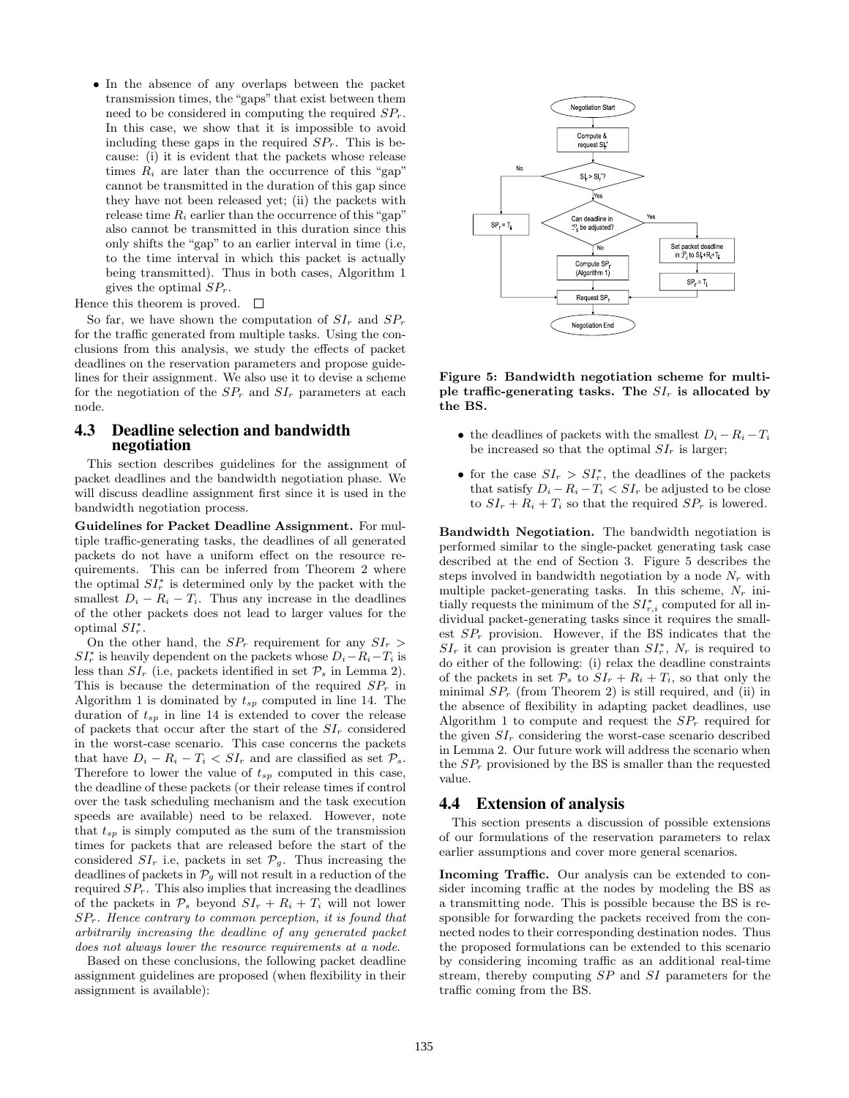• In the absence of any overlaps between the packet transmission times, the "gaps" that exist between them need to be considered in computing the required  $SP<sub>r</sub>$ . In this case, we show that it is impossible to avoid including these gaps in the required  $SP<sub>r</sub>$ . This is because: (i) it is evident that the packets whose release times  $R_i$  are later than the occurrence of this "gap" cannot be transmitted in the duration of this gap since they have not been released yet; (ii) the packets with release time  $R_i$  earlier than the occurrence of this "gap" also cannot be transmitted in this duration since this only shifts the "gap" to an earlier interval in time (i.e, to the time interval in which this packet is actually being transmitted). Thus in both cases, Algorithm 1 gives the optimal  $SP<sub>r</sub>$ .

Hence this theorem is proved.  $\Box$ 

So far, we have shown the computation of  $SI_r$  and  $SP_r$ for the traffic generated from multiple tasks. Using the conclusions from this analysis, we study the effects of packet deadlines on the reservation parameters and propose guidelines for their assignment. We also use it to devise a scheme for the negotiation of the  $SP_r$  and  $SI_r$  parameters at each node.

## 4.3 Deadline selection and bandwidth negotiation

This section describes guidelines for the assignment of packet deadlines and the bandwidth negotiation phase. We will discuss deadline assignment first since it is used in the bandwidth negotiation process.

Guidelines for Packet Deadline Assignment. For multiple traffic-generating tasks, the deadlines of all generated packets do not have a uniform effect on the resource requirements. This can be inferred from Theorem 2 where the optimal  $SI_r^*$  is determined only by the packet with the smallest  $D_i - R_i - T_i$ . Thus any increase in the deadlines of the other packets does not lead to larger values for the optimal  $SI_r^*$ .

On the other hand, the  $SP_r$  requirement for any  $SI_r >$  $SI_r^*$  is heavily dependent on the packets whose  $D_i - R_i - T_i$  is less than  $SI_r$  (i.e, packets identified in set  $\mathcal{P}_s$  in Lemma 2). This is because the determination of the required  $SP<sub>r</sub>$  in Algorithm 1 is dominated by  $t_{sp}$  computed in line 14. The duration of  $t_{sp}$  in line 14 is extended to cover the release of packets that occur after the start of the  $SI_r$  considered in the worst-case scenario. This case concerns the packets that have  $D_i - R_i - T_i < S I_r$  and are classified as set  $\mathcal{P}_s$ . Therefore to lower the value of  $t_{sp}$  computed in this case, the deadline of these packets (or their release times if control over the task scheduling mechanism and the task execution speeds are available) need to be relaxed. However, note that  $t_{sp}$  is simply computed as the sum of the transmission times for packets that are released before the start of the considered  $SI_r$  i.e, packets in set  $\mathcal{P}_g$ . Thus increasing the deadlines of packets in  $\mathcal{P}_g$  will not result in a reduction of the required  $SP<sub>r</sub>$ . This also implies that increasing the deadlines of the packets in  $\mathcal{P}_s$  beyond  $SI_r + R_i + T_i$  will not lower  $SP<sub>r</sub>$ . Hence contrary to common perception, it is found that arbitrarily increasing the deadline of any generated packet does not always lower the resource requirements at a node.

Based on these conclusions, the following packet deadline assignment guidelines are proposed (when flexibility in their assignment is available):



Figure 5: Bandwidth negotiation scheme for multiple traffic-generating tasks. The  $SI_r$  is allocated by the BS.

- the deadlines of packets with the smallest  $D_i R_i T_i$ be increased so that the optimal  $SI_r$  is larger;
- for the case  $SI_r > SI_r^*$ , the deadlines of the packets that satisfy  $D_i - R_i - T_i < S I_r$  be adjusted to be close to  $SI_r + R_i + T_i$  so that the required  $SP_r$  is lowered.

Bandwidth Negotiation. The bandwidth negotiation is performed similar to the single-packet generating task case described at the end of Section 3. Figure 5 describes the steps involved in bandwidth negotiation by a node  $N_r$  with multiple packet-generating tasks. In this scheme,  $N_r$  initially requests the minimum of the  $SI^*_{r,i}$  computed for all individual packet-generating tasks since it requires the smallest  $SP_r$  provision. However, if the BS indicates that the  $SI_r$  it can provision is greater than  $SI^*_r$ ,  $N_r$  is required to do either of the following: (i) relax the deadline constraints of the packets in set  $P_s$  to  $SI_r + R_i + T_i$ , so that only the minimal  $SP<sub>r</sub>$  (from Theorem 2) is still required, and (ii) in the absence of flexibility in adapting packet deadlines, use Algorithm 1 to compute and request the  $SP<sub>r</sub>$  required for the given  $SI_r$  considering the worst-case scenario described in Lemma 2. Our future work will address the scenario when the  $SP<sub>r</sub>$  provisioned by the BS is smaller than the requested value.

#### 4.4 Extension of analysis

This section presents a discussion of possible extensions of our formulations of the reservation parameters to relax earlier assumptions and cover more general scenarios.

Incoming Traffic. Our analysis can be extended to consider incoming traffic at the nodes by modeling the BS as a transmitting node. This is possible because the BS is responsible for forwarding the packets received from the connected nodes to their corresponding destination nodes. Thus the proposed formulations can be extended to this scenario by considering incoming traffic as an additional real-time stream, thereby computing SP and SI parameters for the traffic coming from the BS.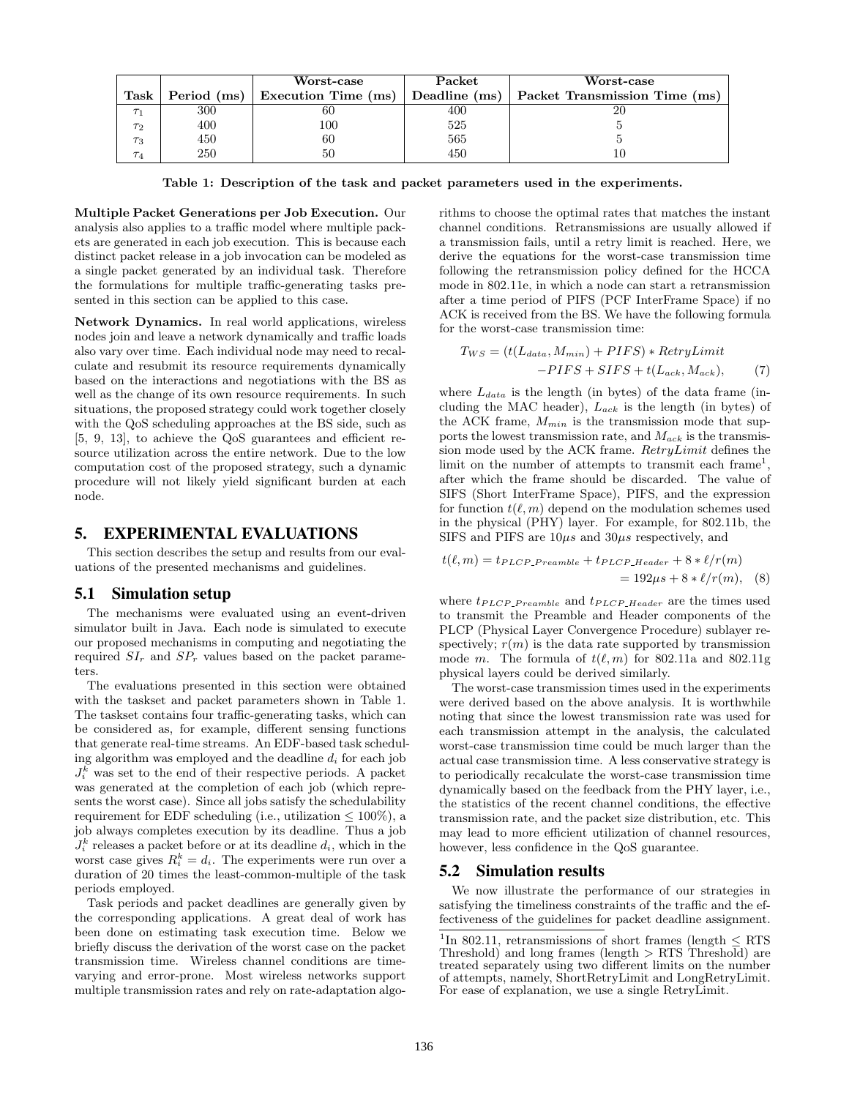|                |             | Worst-case          | Packet        | Worst-case                    |
|----------------|-------------|---------------------|---------------|-------------------------------|
| Task           | Period (ms) | Execution Time (ms) | Deadline (ms) | Packet Transmission Time (ms) |
|                | 300         | 60                  | 400           |                               |
| $\tau_2$       | 400         | 100                 | 525           |                               |
| $\tau_3$       | 450         | 60                  | 565           |                               |
| T <sub>4</sub> | 250         |                     | 450           |                               |

Table 1: Description of the task and packet parameters used in the experiments.

Multiple Packet Generations per Job Execution. Our analysis also applies to a traffic model where multiple packets are generated in each job execution. This is because each distinct packet release in a job invocation can be modeled as a single packet generated by an individual task. Therefore the formulations for multiple traffic-generating tasks presented in this section can be applied to this case.

Network Dynamics. In real world applications, wireless nodes join and leave a network dynamically and traffic loads also vary over time. Each individual node may need to recalculate and resubmit its resource requirements dynamically based on the interactions and negotiations with the BS as well as the change of its own resource requirements. In such situations, the proposed strategy could work together closely with the QoS scheduling approaches at the BS side, such as [5, 9, 13], to achieve the QoS guarantees and efficient resource utilization across the entire network. Due to the low computation cost of the proposed strategy, such a dynamic procedure will not likely yield significant burden at each node.

### 5. EXPERIMENTAL EVALUATIONS

This section describes the setup and results from our evaluations of the presented mechanisms and guidelines.

#### 5.1 Simulation setup

The mechanisms were evaluated using an event-driven simulator built in Java. Each node is simulated to execute our proposed mechanisms in computing and negotiating the required  $SI_r$  and  $SP_r$  values based on the packet parameters.

The evaluations presented in this section were obtained with the taskset and packet parameters shown in Table 1. The taskset contains four traffic-generating tasks, which can be considered as, for example, different sensing functions that generate real-time streams. An EDF-based task scheduling algorithm was employed and the deadline  $d_i$  for each job  $J_i^k$  was set to the end of their respective periods. A packet was generated at the completion of each job (which represents the worst case). Since all jobs satisfy the schedulability requirement for EDF scheduling (i.e., utilization  $\leq 100\%$ ), a job always completes execution by its deadline. Thus a job  $J_i^k$  releases a packet before or at its deadline  $d_i$ , which in the worst case gives  $R_i^k = d_i$ . The experiments were run over a duration of 20 times the least-common-multiple of the task periods employed.

Task periods and packet deadlines are generally given by the corresponding applications. A great deal of work has been done on estimating task execution time. Below we briefly discuss the derivation of the worst case on the packet transmission time. Wireless channel conditions are timevarying and error-prone. Most wireless networks support multiple transmission rates and rely on rate-adaptation algorithms to choose the optimal rates that matches the instant channel conditions. Retransmissions are usually allowed if a transmission fails, until a retry limit is reached. Here, we derive the equations for the worst-case transmission time following the retransmission policy defined for the HCCA mode in 802.11e, in which a node can start a retransmission after a time period of PIFS (PCF InterFrame Space) if no ACK is received from the BS. We have the following formula for the worst-case transmission time:

$$
T_{WS} = (t(L_{data}, M_{min}) + PIFS) * RetryLimit
$$

$$
-PIFS + SIFS + t(L_{ack}, M_{ack}),
$$
(7)

where  $L_{data}$  is the length (in bytes) of the data frame (including the MAC header),  $L_{ack}$  is the length (in bytes) of the ACK frame,  $M_{min}$  is the transmission mode that supports the lowest transmission rate, and  $M_{ack}$  is the transmission mode used by the ACK frame. RetryLimit defines the limit on the number of attempts to transmit each frame<sup>1</sup> , after which the frame should be discarded. The value of SIFS (Short InterFrame Space), PIFS, and the expression for function  $t(\ell, m)$  depend on the modulation schemes used in the physical (PHY) layer. For example, for 802.11b, the SIFS and PIFS are  $10\mu s$  and  $30\mu s$  respectively, and

$$
t(\ell, m) = t_{PLCP\_Preamble} + t_{PLCP\_Header} + 8 * \ell/r(m)
$$
  
= 192\mu s + 8 \* \ell/r(m), (8)

where  $t_{PLCP\_P}$  and  $t_{PLCP\_Header}$  are the times used to transmit the Preamble and Header components of the PLCP (Physical Layer Convergence Procedure) sublayer respectively;  $r(m)$  is the data rate supported by transmission mode m. The formula of  $t(\ell, m)$  for 802.11a and 802.11g physical layers could be derived similarly.

The worst-case transmission times used in the experiments were derived based on the above analysis. It is worthwhile noting that since the lowest transmission rate was used for each transmission attempt in the analysis, the calculated worst-case transmission time could be much larger than the actual case transmission time. A less conservative strategy is to periodically recalculate the worst-case transmission time dynamically based on the feedback from the PHY layer, i.e., the statistics of the recent channel conditions, the effective transmission rate, and the packet size distribution, etc. This may lead to more efficient utilization of channel resources, however, less confidence in the QoS guarantee.

#### 5.2 Simulation results

We now illustrate the performance of our strategies in satisfying the timeliness constraints of the traffic and the effectiveness of the guidelines for packet deadline assignment.

<sup>&</sup>lt;sup>1</sup>In 802.11, retransmissions of short frames (length  $\leq$  RTS Threshold) and long frames (length > RTS Threshold) are treated separately using two different limits on the number of attempts, namely, ShortRetryLimit and LongRetryLimit. For ease of explanation, we use a single RetryLimit.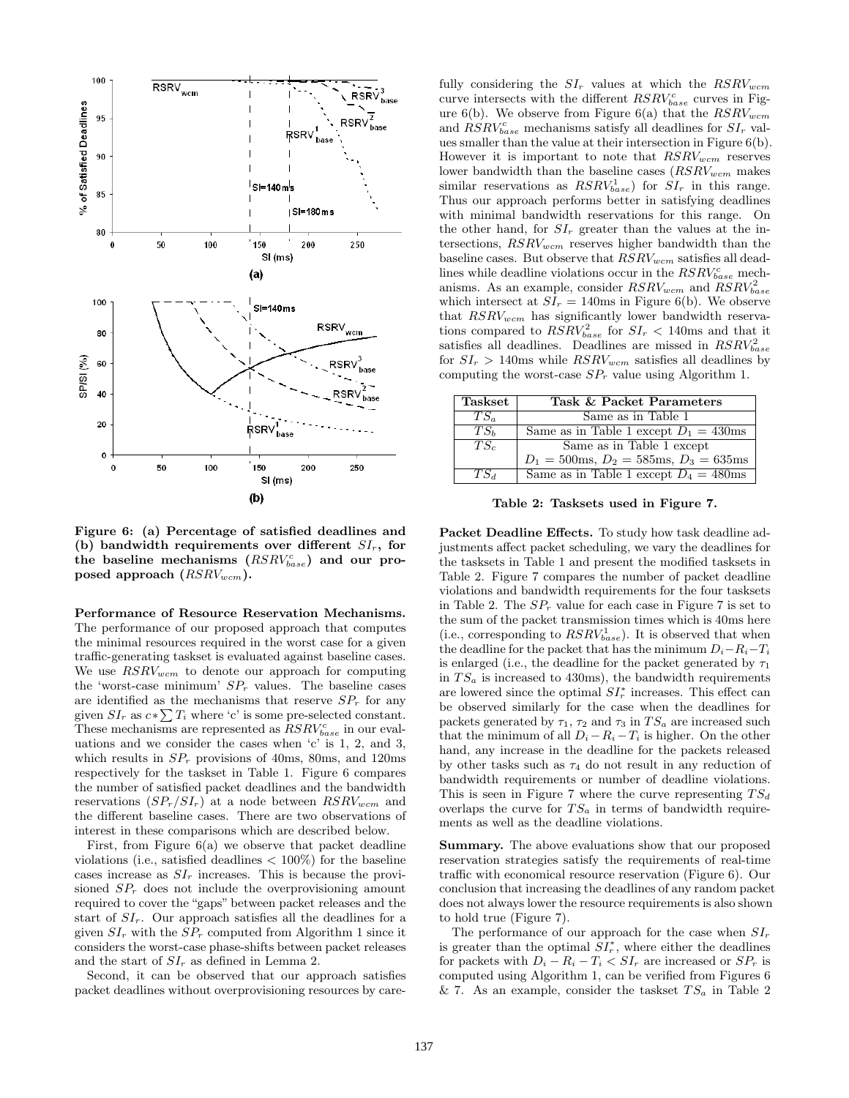

Figure 6: (a) Percentage of satisfied deadlines and (b) bandwidth requirements over different  $SI_r$ , for the baseline mechanisms  $(RSRV_{base}^c)$  and our proposed approach  $(RSRV_{wcm})$ .

Performance of Resource Reservation Mechanisms. The performance of our proposed approach that computes the minimal resources required in the worst case for a given traffic-generating taskset is evaluated against baseline cases. We use  $RSRV_{wcm}$  to denote our approach for computing the 'worst-case minimum'  $SP<sub>r</sub>$  values. The baseline cases are identified as the mechanisms that reserve  $SP<sub>r</sub>$  for any given  $SI_r$  as  $c*\sum T_i$  where 'c' is some pre-selected constant. These mechanisms are represented as  $RSRV_{base}^c$  in our evaluations and we consider the cases when 'c' is 1, 2, and 3, which results in  $SP<sub>r</sub>$  provisions of 40ms, 80ms, and 120ms respectively for the taskset in Table 1. Figure 6 compares the number of satisfied packet deadlines and the bandwidth reservations  $(SP_r/SI_r)$  at a node between  $RSRV_{wcm}$  and the different baseline cases. There are two observations of interest in these comparisons which are described below.

First, from Figure 6(a) we observe that packet deadline violations (i.e., satisfied deadlines  $< 100\%$ ) for the baseline cases increase as  $SI_r$  increases. This is because the provisioned  $SP<sub>r</sub>$  does not include the overprovisioning amount required to cover the "gaps" between packet releases and the start of  $SI_r$ . Our approach satisfies all the deadlines for a given  $SI_r$  with the  $SP_r$  computed from Algorithm 1 since it considers the worst-case phase-shifts between packet releases and the start of  $SI_r$  as defined in Lemma 2.

Second, it can be observed that our approach satisfies packet deadlines without overprovisioning resources by carefully considering the  $SI_r$  values at which the  $RSRV_{wcm}$ curve intersects with the different  $RSRV_{base}^c$  curves in Figure 6(b). We observe from Figure 6(a) that the  $RSRV_{wcm}$ and  $RSRV_{base}^c$  mechanisms satisfy all deadlines for  $SI_r$  values smaller than the value at their intersection in Figure 6(b). However it is important to note that  $RSRV_{wcm}$  reserves lower bandwidth than the baseline cases  $(RSRV_{wcm}$  makes similar reservations as  $RSRV_{base}^1$ ) for  $SI_r$  in this range. Thus our approach performs better in satisfying deadlines with minimal bandwidth reservations for this range. On the other hand, for  $SI_r$  greater than the values at the intersections,  $RSRV_{wcm}$  reserves higher bandwidth than the baseline cases. But observe that  $RSRV_{wcm}$  satisfies all deadlines while deadline violations occur in the  $RSRV_{base}^c$  mechanisms. As an example, consider  $RSRV_{wcm}$  and  $\overline{RSRV}_{base}^2$ which intersect at  $SI_r = 140$ ms in Figure 6(b). We observe that  $RSRV_{wcm}$  has significantly lower bandwidth reservations compared to  $RSRV_{base}^2$  for  $SI_r < 140$ ms and that it satisfies all deadlines. Deadlines are missed in  $RSRV_{base}^2$ for  $SI_r > 140$ ms while  $RSRV_{wcm}$  satisfies all deadlines by computing the worst-case  $SP<sub>r</sub>$  value using Algorithm 1.

| <b>Taskset</b>  | Task & Packet Parameters                       |  |
|-----------------|------------------------------------------------|--|
| $TS_{\alpha}$   | Same as in Table 1                             |  |
| TS <sub>b</sub> | Same as in Table 1 except $D_1 = 430$ ms       |  |
| $TS_c$          | Same as in Table 1 except                      |  |
|                 | $D_1 = 500$ ms, $D_2 = 585$ ms, $D_3 = 635$ ms |  |
| $TS_A$          | Same as in Table 1 except $D_4 = 480$ ms       |  |

Table 2: Tasksets used in Figure 7.

Packet Deadline Effects. To study how task deadline adjustments affect packet scheduling, we vary the deadlines for the tasksets in Table 1 and present the modified tasksets in Table 2. Figure 7 compares the number of packet deadline violations and bandwidth requirements for the four tasksets in Table 2. The  $SP<sub>r</sub>$  value for each case in Figure 7 is set to the sum of the packet transmission times which is 40ms here (i.e., corresponding to  $RSRV_{base}^1$ ). It is observed that when the deadline for the packet that has the minimum  $D_i-R_i-T_i$ is enlarged (i.e., the deadline for the packet generated by  $\tau_1$ in  $TS_a$  is increased to 430ms), the bandwidth requirements are lowered since the optimal  $SI_r^*$  increases. This effect can be observed similarly for the case when the deadlines for packets generated by  $\tau_1$ ,  $\tau_2$  and  $\tau_3$  in  $TS_a$  are increased such that the minimum of all  $D_i - R_i - T_i$  is higher. On the other hand, any increase in the deadline for the packets released by other tasks such as  $\tau_4$  do not result in any reduction of bandwidth requirements or number of deadline violations. This is seen in Figure 7 where the curve representing  $TS_d$ overlaps the curve for  $TS_a$  in terms of bandwidth requirements as well as the deadline violations.

Summary. The above evaluations show that our proposed reservation strategies satisfy the requirements of real-time traffic with economical resource reservation (Figure 6). Our conclusion that increasing the deadlines of any random packet does not always lower the resource requirements is also shown to hold true (Figure 7).

The performance of our approach for the case when  $SI_r$ is greater than the optimal  $SI_r^*$ , where either the deadlines for packets with  $D_i - R_i - T_i < S I_r$  are increased or  $S P_r$  is computed using Algorithm 1, can be verified from Figures 6 & 7. As an example, consider the taskset  $TS_a$  in Table 2